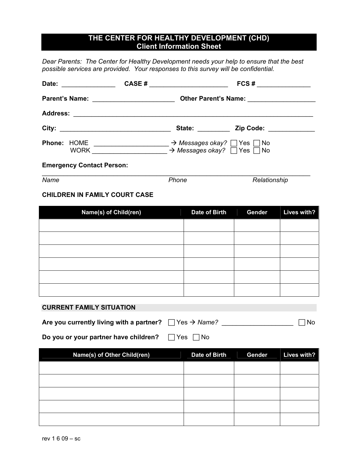# **THE CENTER FOR HEALTHY DEVELOPMENT (CHD) Client Information Sheet**

*Dear Parents: The Center for Healthy Development needs your help to ensure that the best possible services are provided. Your responses to this survey will be confidential.* 

| Date:<br>and the company of the company of |                                                                                                                       | CASE # | FCS#                                                                                                   |  |
|--------------------------------------------|-----------------------------------------------------------------------------------------------------------------------|--------|--------------------------------------------------------------------------------------------------------|--|
|                                            |                                                                                                                       |        |                                                                                                        |  |
| <b>Address:</b>                            | <u> 1989 - Johann Stein, maritan basar masjid asl a shekarar 1989 - An an tsaran a shekarar 1989 - An an tsaran 1</u> |        |                                                                                                        |  |
|                                            |                                                                                                                       |        | State: <u>Zip Code:</u> Zip Code:                                                                      |  |
| <b>Phone: HOME</b><br><b>WORK</b>          |                                                                                                                       |        | $\rightarrow$ Messages okay? $\Box$ Yes $\Box$ No<br>$\rightarrow$ Messages okay? $\Box$ Yes $\Box$ No |  |
| <b>Emergency Contact Person:</b>           |                                                                                                                       |        |                                                                                                        |  |

**Name** *Name Phone**Relationship Relationship* 

#### **CHILDREN IN FAMILY COURT CASE**

| Name(s) of Child(ren) | Date of Birth | Gender | Lives with? |
|-----------------------|---------------|--------|-------------|
|                       |               |        |             |
|                       |               |        |             |
|                       |               |        |             |
|                       |               |        |             |
|                       |               |        |             |
|                       |               |        |             |

#### **CURRENT FAMILY SITUATION**

| Are you currently living with a partner? $\Box$ Yes $\rightarrow$ Name? |  | $\Box$ No |  |
|-------------------------------------------------------------------------|--|-----------|--|
|                                                                         |  |           |  |

**Do you or your partner have children?** F Yes F No

| Name(s) of Other Child(ren) | Date of Birth | Gender | Lives with? |
|-----------------------------|---------------|--------|-------------|
|                             |               |        |             |
|                             |               |        |             |
|                             |               |        |             |
|                             |               |        |             |
|                             |               |        |             |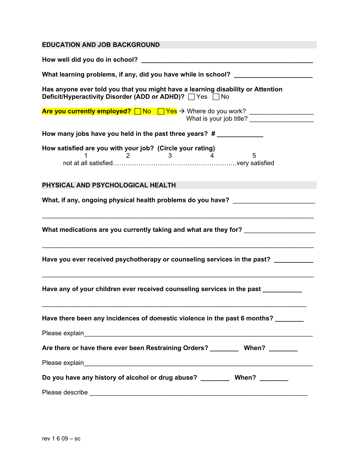| <b>EDUCATION AND JOB BACKGROUND</b>                                                                                                            |
|------------------------------------------------------------------------------------------------------------------------------------------------|
|                                                                                                                                                |
| What learning problems, if any, did you have while in school?                                                                                  |
| Has anyone ever told you that you might have a learning disability or Attention<br><b>Deficit/Hyperactivity Disorder (ADD or ADHD)?</b> Ves No |
| Are you currently employed? <u>□ No □ Yes</u> > Where do you work? ___________________                                                         |
| How many jobs have you held in the past three years? #                                                                                         |
| How satisfied are you with your job? (Circle your rating)                                                                                      |
| PHYSICAL AND PSYCHOLOGICAL HEALTH                                                                                                              |
| What, if any, ongoing physical health problems do you have?                                                                                    |
| What medications are you currently taking and what are they for? _______________                                                               |
| Have you ever received psychotherapy or counseling services in the past?                                                                       |
| Have any of your children ever received counseling services in the past _________                                                              |
| Have there been any incidences of domestic violence in the past 6 months?                                                                      |
|                                                                                                                                                |
| Are there or have there ever been Restraining Orders? __________ When? ________                                                                |
|                                                                                                                                                |
| Do you have any history of alcohol or drug abuse? ___________ When? ________                                                                   |
|                                                                                                                                                |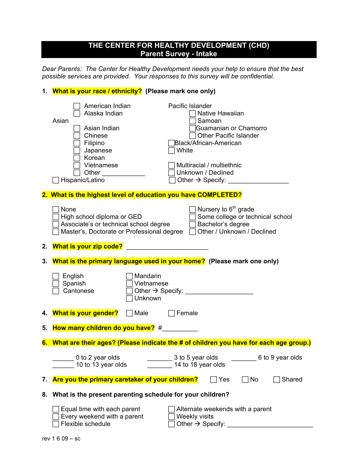### **THE CENTER FOR HEALTHY DEVELOPMENT (CHD) Parent Survey - Intake**

*Dear Parents: The Center for Healthy Development needs your help to ensure that the best possible services are provided. Your responses to this survey will be confidential.* 

## **1. What is your race / ethnicity? (Please mark one only)**

|    | American Indian<br>Alaska Indian<br>Asian<br>Asian Indian<br>Chinese<br>Filipino<br>Japanese<br>Korean<br>Vietnamese       | Pacific Islander<br>Native Hawaiian<br>Samoan<br>Guamanian or Chamorro<br><b>Other Pacific Islander</b><br>Black/African-American<br>White<br>Multiracial / multiethnic |
|----|----------------------------------------------------------------------------------------------------------------------------|-------------------------------------------------------------------------------------------------------------------------------------------------------------------------|
|    | Other<br>Hispanic/Latino                                                                                                   | Unknown / Declined<br>Other $\rightarrow$ Specify:                                                                                                                      |
|    | 2. What is the highest level of education you have COMPLETED?                                                              |                                                                                                                                                                         |
|    | None<br>High school diploma or GED<br>Associate's or technical school degree<br>Master's, Doctorate or Professional degree | Nursery to 6 <sup>th</sup> grade<br>Some college or technical school<br>Bachelor's degree<br>Other / Unknown / Declined                                                 |
| 2. | <b>What is your zip code?</b>                                                                                              |                                                                                                                                                                         |
| 3. |                                                                                                                            | What is the primary language used in your home? (Please mark one only)                                                                                                  |
|    | Mandarin<br>English<br>Spanish<br>Vietnamese<br>Cantonese<br>Unknown                                                       |                                                                                                                                                                         |
|    | 4. What is your gender?<br>Male                                                                                            | Female                                                                                                                                                                  |
| 5. | How many children do you have? #                                                                                           |                                                                                                                                                                         |
|    |                                                                                                                            | 6. What are their ages? (Please indicate the # of children you have for each age group.)                                                                                |
|    | 0 to 2 year olds<br>10 to 13 year olds                                                                                     | 3 to 5 year olds<br>6 to 9 year olds<br>14 to 18 year olds                                                                                                              |
| 7. | Are you the primary caretaker of your children?                                                                            | Yes<br>No<br>Shared                                                                                                                                                     |
| 8. | What is the present parenting schedule for your children?                                                                  |                                                                                                                                                                         |
|    | Equal time with each parent<br>Every weekend with a parent<br>Flexible schedule                                            | Alternate weekends with a parent<br>Weekly visits<br>Other $\rightarrow$ Specify:                                                                                       |